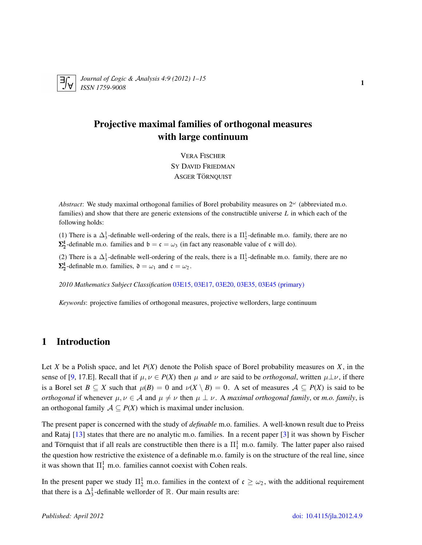

*Journal of* L*ogic &* A*nalysis 4:9 (2012) 1–15 ISSN 1759-9008* <sup>1</sup>

### Projective maximal families of orthogonal measures with large continuum

VERA FISCHER SY DAVID FRIEDMAN ASGER TÖRNQUIST

*Abstract*: We study maximal orthogonal families of Borel probability measures on  $2^{\omega}$  (abbreviated m.o. families) and show that there are generic extensions of the constructible universe *L* in which each of the following holds:

(1) There is a  $\Delta_3^1$ -definable well-ordering of the reals, there is a  $\Pi_2^1$ -definable m.o. family, there are no  $\Sigma_2^1$ -definable m.o. families and  $\mathfrak{b} = \mathfrak{c} = \omega_3$  (in fact any reasonable value of  $\mathfrak{c}$  will do).

(2) There is a  $\Delta_3^1$ -definable well-ordering of the reals, there is a  $\Pi_2^1$ -definable m.o. family, there are no  $\Sigma_2^1$ -definable m.o. families,  $\mathfrak{d} = \omega_1$  and  $\mathfrak{c} = \omega_2$ .

*2010 Mathematics Subject Classification* [03E15, 03E17, 03E20, 03E35, 03E45 \(primary\)](http://www.ams.org/mathscinet/search/mscdoc.html?code=03E15, 03E17, 03E20, 03E35, 03E45)

*Keywords*: projective families of orthogonal measures, projective wellorders, large continuum

### 1 Introduction

Let *X* be a Polish space, and let *P*(*X*) denote the Polish space of Borel probability measures on *X*, in the sense of [\[9,](#page-14-0) 17.E]. Recall that if  $\mu, \nu \in P(X)$  then  $\mu$  and  $\nu$  are said to be *orthogonal*, written  $\mu \perp \nu$ , if there is a Borel set  $B \subseteq X$  such that  $\mu(B) = 0$  and  $\nu(X \setminus B) = 0$ . A set of measures  $A \subseteq P(X)$  is said to be *orthogonal* if whenever  $\mu, \nu \in A$  and  $\mu \neq \nu$  then  $\mu \perp \nu$ . A *maximal orthogonal family*, or *m.o. family*, is an orthogonal family  $A \subseteq P(X)$  which is maximal under inclusion.

The present paper is concerned with the study of *definable* m.o. families. A well-known result due to Preiss and Rataj [\[13\]](#page-14-1) states that there are no analytic m.o. families. In a recent paper [\[3\]](#page-14-2) it was shown by Fischer and Törnquist that if all reals are constructible then there is a  $\Pi_1^1$  m.o. family. The latter paper also raised the question how restrictive the existence of a definable m.o. family is on the structure of the real line, since it was shown that  $\Pi_1^1$  m.o. families cannot coexist with Cohen reals.

In the present paper we study  $\Pi_2^1$  m.o. families in the context of  $\mathfrak{c} \geq \omega_2$ , with the additional requirement that there is a  $\Delta_3^1$ -definable wellorder of  $\mathbb R$ . Our main results are: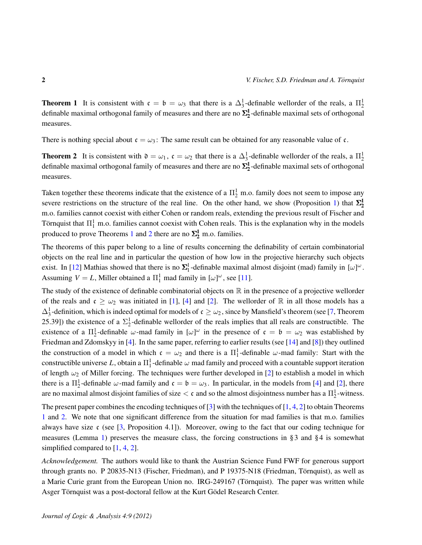<span id="page-1-0"></span>**Theorem 1** It is consistent with  $c = b = \omega_3$  that there is a  $\Delta_3^1$ -definable wellorder of the reals, a  $\Pi_2^1$ definable maximal orthogonal family of measures and there are no  $\Sigma^1_2$ -definable maximal sets of orthogonal measures.

There is nothing special about  $c = \omega_3$ : The same result can be obtained for any reasonable value of c.

<span id="page-1-1"></span>**Theorem 2** It is consistent with  $\mathfrak{d} = \omega_1$ ,  $\mathfrak{c} = \omega_2$  that there is a  $\Delta_3^1$ -definable wellorder of the reals, a  $\Pi_2^1$ definable maximal orthogonal family of measures and there are no  $\Sigma^1_2$ -definable maximal sets of orthogonal measures.

Taken together these theorems indicate that the existence of a  $\Pi^1_2$  m.o. family does not seem to impose any severe restrictions on the structure of the real line. On the other hand, we show (Proposition [1\)](#page-3-0) that  $\Sigma^1_2$ m.o. families cannot coexist with either Cohen or random reals, extending the previous result of Fischer and Törnquist that  $\Pi_1^1$  m.o. families cannot coexist with Cohen reals. This is the explanation why in the models produced to prove Theorems [1](#page-1-0) and [2](#page-1-1) there are no  $\Sigma^1_2$  m.o. families.

The theorems of this paper belong to a line of results concerning the definability of certain combinatorial objects on the real line and in particular the question of how low in the projective hierarchy such objects exist. In [\[12\]](#page-14-3) Mathias showed that there is no  $\Sigma_1^1$ -definable maximal almost disjoint (mad) family in [ $\omega$ ]<sup> $\omega$ </sup>. Assuming  $V = L$ , Miller obtained a  $\Pi_1^1$  mad family in  $[\omega]^\omega$ , see [\[11\]](#page-14-4).

The study of the existence of definable combinatorial objects on  $\mathbb R$  in the presence of a projective wellorder of the reals and  $\mathfrak{c} \geq \omega_2$  was initiated in [\[1\]](#page-13-0), [\[4\]](#page-14-5) and [\[2\]](#page-13-1). The wellorder of R in all those models has a  $\Delta_3^1$ -definition, which is indeed optimal for models of  $\mathfrak{c} \geq \omega_2$ , since by Mansfield's theorem (see [\[7,](#page-14-6) Theorem 25.39]) the existence of a  $\Sigma^1_2$ -definable wellorder of the reals implies that all reals are constructible. The existence of a  $\Pi_2^1$ -definable  $\omega$ -mad family in  $[\omega]^\omega$  in the presence of  $\mathfrak{c} = \mathfrak{b} = \omega_2$  was established by Friedman and Zdomskyy in [\[4\]](#page-14-5). In the same paper, referring to earlier results (see [\[14\]](#page-14-7) and [\[8\]](#page-14-8)) they outlined the construction of a model in which  $\mathfrak{c} = \omega_2$  and there is a  $\Pi_1^1$ -definable  $\omega$ -mad family: Start with the constructible universe L, obtain a  $\Pi_1^1$ -definable  $\omega$  mad family and proceed with a countable support iteration of length  $\omega_2$  of Miller forcing. The techniques were further developed in [\[2\]](#page-13-1) to establish a model in which there is a  $\Pi_2^1$ -definable  $\omega$ -mad family and  $\mathfrak{c} = \mathfrak{b} = \omega_3$ . In particular, in the models from [\[4\]](#page-14-5) and [\[2\]](#page-13-1), there are no maximal almost disjoint families of size  $\lt c$  and so the almost disjointness number has a  $\Pi_2^1$ -witness.

The present paper combines the encoding techniques of  $[3]$  with the techniques of  $[1, 4, 2]$  $[1, 4, 2]$  $[1, 4, 2]$  $[1, 4, 2]$  $[1, 4, 2]$  to obtain Theorems [1](#page-1-0) and [2.](#page-1-1) We note that one significant difference from the situation for mad families is that m.o. families always have size  $c$  (see [\[3,](#page-14-2) Proposition 4.1]). Moreover, owing to the fact that our coding technique for measures (Lemma [1\)](#page-2-0) preserves the measure class, the forcing constructions in §3 and §4 is somewhat simplified compared to  $[1, 4, 2]$  $[1, 4, 2]$  $[1, 4, 2]$  $[1, 4, 2]$  $[1, 4, 2]$ .

*Acknowledgement.* The authors would like to thank the Austrian Science Fund FWF for generous support through grants no. P 20835-N13 (Fischer, Friedman), and P 19375-N18 (Friedman, Tornquist), as well as ¨ a Marie Curie grant from the European Union no. IRG-249167 (Törnquist). The paper was written while Asger Törnquist was a post-doctoral fellow at the Kurt Gödel Research Center.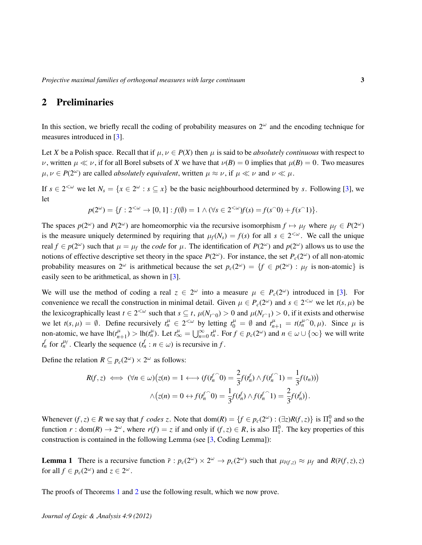### 2 Preliminaries

In this section, we briefly recall the coding of probability measures on  $2^{\omega}$  and the encoding technique for measures introduced in [\[3\]](#page-14-2).

Let *X* be a Polish space. Recall that if  $\mu, \nu \in P(X)$  then  $\mu$  is said to be *absolutely continuous* with respect to *ν*, written  $\mu \ll \nu$ , if for all Borel subsets of *X* we have that  $\nu(B) = 0$  implies that  $\mu(B) = 0$ . Two measures  $\mu, \nu \in P(2^{\omega})$  are called *absolutely equivalent*, written  $\mu \approx \nu$ , if  $\mu \ll \nu$  and  $\nu \ll \mu$ .

If  $s \in 2^{<\omega}$  we let  $N_s = \{x \in 2^\omega : s \subseteq x\}$  be the basic neighbourhood determined by *s*. Following [\[3\]](#page-14-2), we let

$$
p(2^{\omega}) = \{f : 2^{<\omega} \to [0,1] : f(\emptyset) = 1 \land (\forall s \in 2^{<\omega}) f(s) = f(s^{\cap}0) + f(s^{\cap}1)\}.
$$

The spaces  $p(2^{\omega})$  and  $P(2^{\omega})$  are homeomorphic via the recursive isomorphism  $f \mapsto \mu_f$  where  $\mu_f \in P(2^{\omega})$ is the measure uniquely determined by requiring that  $\mu_f(N_s) = f(s)$  for all  $s \in 2^{< \omega}$ . We call the unique real  $f \in p(2^{\omega})$  such that  $\mu = \mu_f$  the *code* for  $\mu$ . The identification of  $P(2^{\omega})$  and  $p(2^{\omega})$  allows us to use the notions of effective descriptive set theory in the space  $P(2^{\omega})$ . For instance, the set  $P_c(2^{\omega})$  of all non-atomic probability measures on  $2^{\omega}$  is arithmetical because the set  $p_c(2^{\omega}) = \{f \in p(2^{\omega}) : \mu_f \text{ is non-atomic}\}\$ is easily seen to be arithmetical, as shown in [\[3\]](#page-14-2).

We will use the method of coding a real  $z \in 2^{\omega}$  into a measure  $\mu \in P_c(2^{\omega})$  introduced in [\[3\]](#page-14-2). For convenience we recall the construction in minimal detail. Given  $\mu \in P_c(2^{\omega})$  and  $s \in 2^{<\omega}$  we let  $t(s, \mu)$  be the lexicographically least  $t \in 2^{<\omega}$  such that  $s \subseteq t$ ,  $\mu(N_{t \cap 0}) > 0$  and  $\mu(N_{t \cap 1}) > 0$ , if it exists and otherwise we let  $t(s, \mu) = \emptyset$ . Define recursively  $t_n^{\mu} \in 2^{<\omega}$  by letting  $t_0^{\mu} = \emptyset$  and  $t_{n+1}^{\mu} = t(t_n^{\mu})$  $\hat{0}, \mu$ ). Since  $\mu$  is non-atomic, we have  $lh(t_m^{\mu})$  $n_{n+1}^{\mu}$ ) > lh( $t_n^{\mu}$ ). Let  $t_{\infty}^{\mu} = \bigcup_{n=0}^{\infty} t_n^{\mu}$ . For  $f \in p_c(2^{\omega})$  and  $n \in \omega \cup \{\infty\}$  we will write *t*<sup>*n*</sup></sup> *f* or *t*<sup>*nt*</sup><sup>*n*</sup> . Clearly the sequence  $(f_n : n \in \omega)$  is recursive in *f*.

Define the relation  $R \subseteq p_c(2^{\omega}) \times 2^{\omega}$  as follows:

$$
R(f,z) \iff (\forall n \in \omega) \big(z(n) = 1 \longleftrightarrow (f(t_n^f \cap 0) = \frac{2}{3} f(t_n^f) \land f(t_n^f \cap 1) = \frac{1}{3} f(t_n))\big) \land \big(z(n) = 0 \leftrightarrow f(t_n^f \cap 0) = \frac{1}{3} f(t_n^f) \land f(t_n^f \cap 1) = \frac{2}{3} f(t_n^f).
$$

Whenever  $(f, z) \in R$  we say that  $f$  codes  $z$ . Note that  $dom(R) = \{f \in p_c(2^\omega) : (\exists z)R(f, z)\}$  is  $\Pi_1^0$  and so the function  $r: dom(R) \to 2^{\omega}$ , where  $r(f) = z$  if and only if  $(f, z) \in R$ , is also  $\Pi_1^0$ . The key properties of this construction is contained in the following Lemma (see [\[3,](#page-14-2) Coding Lemma]):

<span id="page-2-0"></span>**Lemma 1** There is a recursive function  $\bar{r}: p_c(2^{\omega}) \times 2^{\omega} \to p_c(2^{\omega})$  such that  $\mu_{\bar{r}(f,z)} \approx \mu_f$  and  $R(\bar{r}(f,z),z)$ for all  $f \in p_c(2^{\omega})$  and  $z \in 2^{\omega}$ .

The proofs of Theorems [1](#page-1-0) and [2](#page-1-1) use the following result, which we now prove.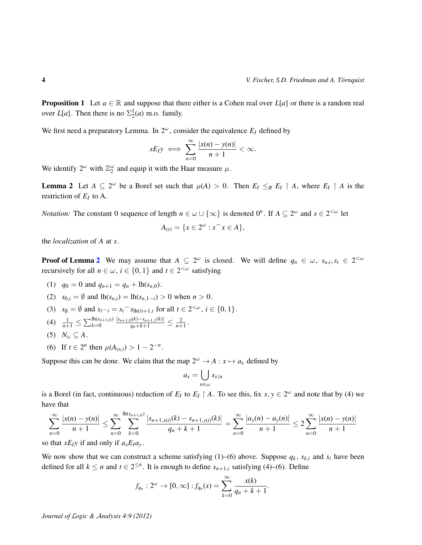<span id="page-3-0"></span>**Proposition 1** Let  $a \in \mathbb{R}$  and suppose that there either is a Cohen real over  $L[a]$  or there is a random real over *L*[*a*]. Then there is no  $\Sigma_2^1(a)$  m.o. family.

We first need a preparatory Lemma. In  $2^{\omega}$ , consider the equivalence  $E_I$  defined by

$$
xE_I y \iff \sum_{n=0}^{\infty} \frac{|x(n) - y(n)|}{n+1} < \infty.
$$

We identify  $2^{\omega}$  with  $\mathbb{Z}_2^{\omega}$  and equip it with the Haar measure  $\mu$ .

<span id="page-3-1"></span>**Lemma 2** Let  $A \subseteq 2^{\omega}$  be a Borel set such that  $\mu(A) > 0$ . Then  $E_I \leq_B E_I \upharpoonright A$ , where  $E_I \upharpoonright A$  is the restriction of  $E_I$  to A.

*Notation:* The constant 0 sequence of length  $n \in \omega \cup \{\infty\}$  is denoted  $0^n$ . If  $A \subseteq 2^{\omega}$  and  $s \in 2^{<\omega}$  let

$$
A_{(s)} = \{x \in 2^{\omega} : s^{\frown} x \in A\},\
$$

the *localization* of *A* at *s*.

**Proof of Lemma [2](#page-3-1)** We may assume that  $A \subseteq 2^{\omega}$  is closed. We will define  $q_n \in \omega$ ,  $s_{n,i}, s_t \in 2^{<\omega}$ recursively for all  $n \in \omega$ ,  $i \in \{0, 1\}$  and  $t \in 2^{<\omega}$  satisfying

(1)  $q_0 = 0$  and  $q_{n+1} = q_n + \text{lh}(s_{n,0}).$ 

(2) 
$$
s_{0,i} = \emptyset
$$
 and  $\text{lh}(s_{n,i}) = \text{lh}(s_{n,1-i}) > 0$  when  $n > 0$ .

- (3)  $s_{\emptyset} = \emptyset$  and  $s_{t} \neg i = s_t \neg s_{\text{lh}(t)+1,i}$  for all  $t \in 2^{<\omega}$ ,  $i \in \{0, 1\}$ .
- (4)  $\frac{1}{n+1} \leq \sum_{k=0}^{\text{lh}(s_{n+1,0})}$  $\frac{|s_{n+1,0}(k)-s_{n+1,1}(k)|}{q_n+k+1} \leq \frac{2}{n+1}.$
- $(S)$   $N_{s_t} \subseteq A$ .
- (6) If  $t \in 2^n$  then  $\mu(A_{(s_t)}) > 1 2^{-n}$ .

Suppose this can be done. We claim that the map  $2^{\omega} \rightarrow A : x \mapsto a_x$  defined by

$$
a_x=\bigcup_{n\in\omega}s_{x\upharpoonright n}
$$

is a Borel (in fact, continuous) reduction of  $E_I$  to  $E_I \upharpoonright A$ . To see this, fix  $x, y \in 2^\omega$  and note that by (4) we have that

$$
\sum_{n=0}^{\infty} \frac{|x(n) - y(n)|}{n+1} \le \sum_{n=0}^{\infty} \sum_{k=0}^{\ln(s_{n+1,0})} \frac{|s_{n+1,x(i)}(k) - s_{n+1,y(i)}(k)|}{q_n + k + 1} = \sum_{n=0}^{\infty} \frac{|a_x(n) - a_y(n)|}{n+1} \le 2 \sum_{n=0}^{\infty} \frac{|x(n) - y(n)|}{n+1}
$$

so that  $xE_Iy$  if and only if  $a_xE_Ia_y$ .

We now show that we can construct a scheme satisfying (1)–(6) above. Suppose  $q_k$ ,  $s_{k,i}$  and  $s_t$  have been defined for all  $k \le n$  and  $t \in 2^{\le n}$ . It is enough to define  $s_{n+1,i}$  satisfying (4)–(6). Define

$$
f_{q_n}: 2^{\omega} \to [0, \infty]: f_{q_n}(x) = \sum_{k=0}^{\infty} \frac{x(k)}{q_n + k + 1}.
$$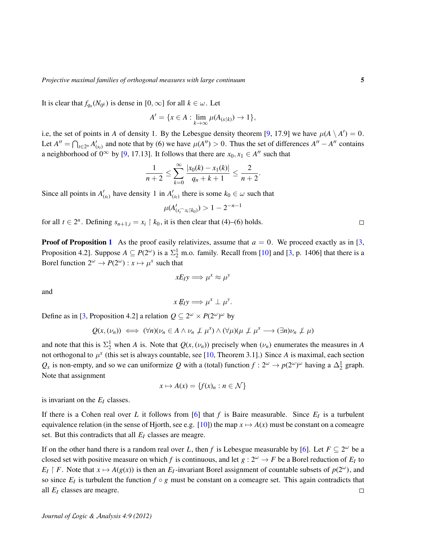It is clear that  $f_{q_n}(N_{0^k})$  is dense in  $[0, \infty]$  for all  $k \in \omega$ . Let

$$
A' = \{x \in A : \lim_{k \to \infty} \mu(A_{(x \restriction k)}) \to 1\},\
$$

i.e, the set of points in *A* of density 1. By the Lebesgue density theorem [\[9,](#page-14-0) 17.9] we have  $\mu(A \setminus A') = 0$ . Let  $A'' = \bigcap_{t \in 2^n} A'_{(s_t)}$  and note that by (6) we have  $\mu(A'') > 0$ . Thus the set of differences  $A'' - A''$  contains a neighborhood of  $0^{\infty}$  by [\[9,](#page-14-0) 17.13]. It follows that there are  $x_0, x_1 \in A''$  such that

$$
\frac{1}{n+2} \leq \sum_{k=0}^{\infty} \frac{|x_0(k) - x_1(k)|}{q_n + k + 1} \leq \frac{2}{n+2}.
$$

Since all points in  $A'_{(s_t)}$  have density 1 in  $A'_{(s_t)}$  there is some  $k_0 \in \omega$  such that

$$
\mu(A'_{(s_i^{\frown} x_i|k_0)}) > 1 - 2^{-n-1}
$$

for all  $t \in 2^n$ . Defining  $s_{n+1,i} = x_i \restriction k_0$ , it is then clear that (4)–(6) holds.

**Proof of Proposition [1](#page-3-0)** As the proof easily relativizes, assume that  $a = 0$ . We proceed exactly as in [\[3,](#page-14-2) Proposition 4.2]. Suppose  $A \subseteq P(2^{\omega})$  is a  $\Sigma_2^1$  m.o. family. Recall from [\[10\]](#page-14-9) and [\[3,](#page-14-2) p. 1406] that there is a Borel function  $2^{\omega} \rightarrow P(2^{\omega}) : x \mapsto \mu^x$  such that

$$
xE_I y \Longrightarrow \mu^x \approx \mu^y
$$

and

$$
x \not\!\! E_I y \Longrightarrow \mu^x \perp \mu^y.
$$

Define as in [\[3,](#page-14-2) Proposition 4.2] a relation  $Q \subseteq 2^{\omega} \times P(2^{\omega})^{\omega}$  by

$$
Q(x, (\nu_n)) \iff (\forall n)(\nu_n \in A \land \nu_n \not\perp \mu^x) \land (\forall \mu)(\mu \not\perp \mu^x \longrightarrow (\exists n)\nu_n \not\perp \mu)
$$

and note that this is  $\Sigma^1_2$  when *A* is. Note that  $Q(x, (\nu_n))$  precisely when  $(\nu_n)$  enumerates the measures in *A* not orthogonal to  $\mu^x$  (this set is always countable, see [\[10,](#page-14-9) Theorem 3.1].) Since *A* is maximal, each section  $Q_x$  is non-empty, and so we can uniformize *Q* with a (total) function  $f: 2^{\omega} \to p(2^{\omega})^{\omega}$  having a  $\Delta_2^1$  graph. Note that assignment

$$
x \mapsto A(x) = \{f(x)_n : n \in \mathcal{N}\}
$$

is invariant on the *E<sup>I</sup>* classes.

If there is a Cohen real over *L* it follows from [\[6\]](#page-14-10) that *f* is Baire measurable. Since  $E_I$  is a turbulent equivalence relation (in the sense of Hjorth, see e.g. [\[10\]](#page-14-9)) the map  $x \mapsto A(x)$  must be constant on a comeagre set. But this contradicts that all *E<sup>I</sup>* classes are meagre.

If on the other hand there is a random real over *L*, then *f* is Lebesgue measurable by [\[6\]](#page-14-10). Let  $F \subseteq 2^{\omega}$  be a closed set with positive measure on which *f* is continuous, and let  $g: 2^{\omega} \to F$  be a Borel reduction of  $E_I$  to  $E_I \restriction F$ . Note that  $x \mapsto A(g(x))$  is then an  $E_I$ -invariant Borel assignment of countable subsets of  $p(2^{\omega})$ , and so since  $E_I$  is turbulent the function  $f \circ g$  must be constant on a comeagre set. This again contradicts that all *E<sup>I</sup>* classes are meagre.  $\Box$ 

 $\Box$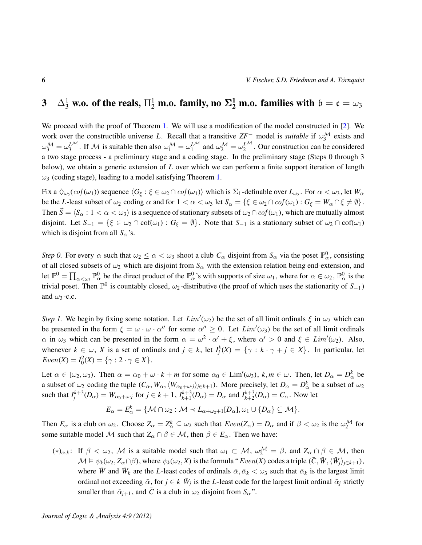# 3  $\pm \Delta_3^1$  w.o. of the reals,  $\Pi_2^1$  m.o. family, no  $\mathbf{\Sigma_2^1}$  m.o. families with  $\mathfrak{b}=\mathfrak{c}=\omega_3$

We proceed with the proof of Theorem [1.](#page-1-0) We will use a modification of the model constructed in [\[2\]](#page-13-1). We work over the constructible universe *L*. Recall that a transitive  $ZF^-$  model is *suitable* if  $\omega_3^{\mathcal{M}}$  exists and  $\omega_3^{\mathcal{M}} = \omega_3^{\mathcal{L}^{\mathcal{M}}}$ . If M is suitable then also  $\omega_1^{\mathcal{M}} = \omega_1^{\mathcal{L}^{\mathcal{M}}}$  and  $\omega_2^{\mathcal{M}} = \omega_2^{\mathcal{L}^{\mathcal{M}}}$ . Our construction can be considered a two stage process - a preliminary stage and a coding stage. In the preliminary stage (Steps 0 through 3 below), we obtain a generic extension of *L* over which we can perform a finite support iteration of length  $\omega_3$  (coding stage), leading to a model satisfying Theorem [1.](#page-1-0)

Fix a  $\Diamond_{\omega_2}(cof(\omega_1))$  sequence  $\langle G_{\xi} : \xi \in \omega_2 \cap cof(\omega_1) \rangle$  which is  $\Sigma_1$ -definable over  $L_{\omega_2}$ . For  $\alpha < \omega_3$ , let  $W_{\alpha}$ be the *L*-least subset of  $\omega_2$  coding  $\alpha$  and for  $1 < \alpha < \omega_3$  let  $S_\alpha = {\{\xi \in \omega_2 \cap cof(\omega_1) : G_\xi = W_\alpha \cap \xi \neq \emptyset\}}$ . Then  $\vec{S} = \langle S_\alpha : 1 < \alpha < \omega_3 \rangle$  is a sequence of stationary subsets of  $\omega_2 \cap cof(\omega_1)$ , which are mutually almost disjoint. Let  $S_{-1} = \{\xi \in \omega_2 \cap \text{cof}(\omega_1) : G_{\xi} = \emptyset\}$ . Note that  $S_{-1}$  is a stationary subset of  $\omega_2 \cap \text{cof}(\omega_1)$ which is disjoint from all  $S_\alpha$ 's.

*Step 0.* For every  $\alpha$  such that  $\omega_2 \le \alpha < \omega_3$  shoot a club  $C_\alpha$  disjoint from  $S_\alpha$  via the poset  $\mathbb{P}^0_\alpha$ , consisting of all closed subsets of  $\omega_2$  which are disjoint from  $S_\alpha$  with the extension relation being end-extension, and let  $\mathbb{P}^0 = \prod_{\alpha<\omega_3} \mathbb{P}^0_\alpha$  be the direct product of the  $\mathbb{P}^0_\alpha$ 's with supports of size  $\omega_1$ , where for  $\alpha \in \omega_2$ ,  $\mathbb{P}^0_\alpha$  is the trivial poset. Then  $\mathbb{P}^0$  is countably closed,  $\omega_2$ -distributive (the proof of which uses the stationarity of  $S_{-1}$ ) and  $\omega_3$ -c.c.

*Step 1*. We begin by fixing some notation. Let  $Lim'(\omega_2)$  be the set of all limit ordinals  $\xi$  in  $\omega_2$  which can be presented in the form  $\xi = \omega \cdot \omega \cdot \alpha''$  for some  $\alpha'' \ge 0$ . Let  $Lim'(\omega_3)$  be the set of all limit ordinals  $\alpha$  in  $\omega_3$  which can be presented in the form  $\alpha = \omega^2 \cdot \alpha' + \xi$ , where  $\alpha' > 0$  and  $\xi \in Lim'(\omega_2)$ . Also, whenever  $k \in \omega$ , *X* is a set of ordinals and  $j \in k$ , let  $I_j^k(X) = \{ \gamma : k \cdot \gamma + j \in X \}$ . In particular, let  $Even(X) = I_0^2(X) = {\gamma : 2 \cdot \gamma \in X}.$ 

Let  $\alpha \in [\omega_2, \omega_3)$ . Then  $\alpha = \alpha_0 + \omega \cdot k + m$  for some  $\alpha_0 \in \text{Lim}'(\omega_3)$ ,  $k, m \in \omega$ . Then, let  $D_\alpha = D_\alpha^k$  be a subset of  $\omega_2$  coding the tuple  $(C_\alpha, W_\alpha, \langle W_{\alpha_0+\omega_j}\rangle_{j\in k+1})$ . More precisely, let  $D_\alpha = D^k_\alpha$  be a subset of  $\omega_2$ such that  $I_j^{k+3}(D_\alpha) = W_{\alpha_0+\omega_j}$  for  $j \in k+1$ ,  $I_{k+1}^{k+3}(D_\alpha) = D_\alpha$  and  $I_{k+2}^{k+3}(D_\alpha) = C_\alpha$ . Now let

$$
E_{\alpha}=E_{\alpha}^{k}=\{M\cap\omega_{2}:\mathcal{M}\prec L_{\alpha+\omega_{2}+1}[D_{\alpha}],\omega_{1}\cup\{D_{\alpha}\}\subseteq\mathcal{M}\}.
$$

Then  $E_\alpha$  is a club on  $\omega_2$ . Choose  $Z_\alpha = Z_\alpha^k \subseteq \omega_2$  such that  $Even(Z_\alpha) = D_\alpha$  and if  $\beta < \omega_2$  is the  $\omega_2^{\mathcal{M}}$  for some suitable model M such that  $Z_\alpha \cap \beta \in M$ , then  $\beta \in E_\alpha$ . Then we have:

(\*)<sub>α,k</sub>: If  $\beta < \omega_2$ , M is a suitable model such that  $\omega_1 \subset M$ ,  $\omega_2^{\mathcal{M}} = \beta$ , and  $Z_\alpha \cap \beta \in \mathcal{M}$ , then  $\mathcal{M} \models \psi_k(\omega_2, Z_\alpha \cap \beta)$ , where  $\psi_k(\omega_2, X)$  is the formula " $Even(X)$  codes a triple  $(\bar{C}, \bar{W}, \langle \bar{W}_j \rangle_{j \in k+1}),$ where  $\bar{W}$  and  $\bar{W}_k$  are the *L*-least codes of ordinals  $\bar{\alpha}, \bar{\alpha}_k < \omega_3$  such that  $\bar{\alpha}_k$  is the largest limit ordinal not exceeding  $\bar{\alpha}$ , for  $j \in k$   $\bar{W}_j$  is the *L*-least code for the largest limit ordinal  $\bar{\alpha}_j$  strictly smaller than  $\bar{\alpha}_{i+1}$ , and  $\bar{C}$  is a club in  $\omega_2$  disjoint from  $S_{\bar{\alpha}}$ ".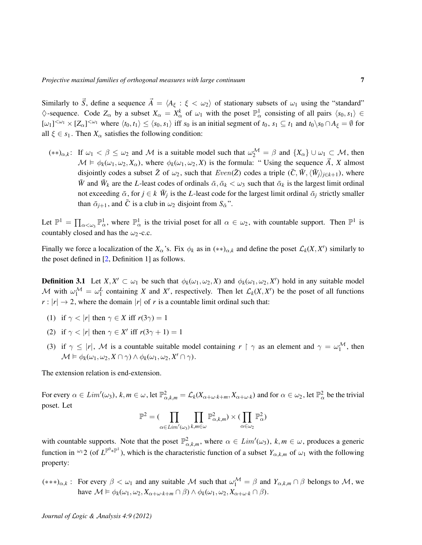Similarly to  $\vec{S}$ , define a sequence  $\vec{A} = \langle A_{\xi} : \xi < \omega_2 \rangle$  of stationary subsets of  $\omega_1$  using the "standard"  $\Diamond$ -sequence. Code  $Z_{\alpha}$  by a subset  $X_{\alpha} = X_{\alpha}^{k}$  of  $\omega_1$  with the poset  $\mathbb{P}^1_{\alpha}$  consisting of all pairs  $\langle s_0, s_1 \rangle \in$  $[\omega_1]^{<\omega_1} \times [Z_\alpha]^{<\omega_1}$  where  $\langle t_0, t_1 \rangle \leq \langle s_0, s_1 \rangle$  iff  $s_0$  is an initial segment of  $t_0, s_1 \subseteq t_1$  and  $t_0 \setminus s_0 \cap A_\xi = \emptyset$  for all  $\xi \in s_1$ . Then  $X_\alpha$  satisfies the following condition:

 $(**)_{\alpha,k}$ : If  $\omega_1 < \beta \leq \omega_2$  and M is a suitable model such that  $\omega_2^{\mathcal{M}} = \beta$  and  $\{X_{\alpha}\}\cup \omega_1 \subset \mathcal{M}$ , then  $\mathcal{M} \models \phi_k(\omega_1, \omega_2, X_\alpha)$ , where  $\phi_k(\omega_1, \omega_2, X)$  is the formula: "Using the sequence  $\vec{A}$ , X almost disjointly codes a subset  $\bar{Z}$  of  $\omega_2$ , such that  $Even(\bar{Z})$  codes a triple  $(\bar{C}, \bar{W}, \langle \bar{W}_j \rangle_{j \in k+1})$ , where *W* and  $\bar{W}_k$  are the *L*-least codes of ordinals  $\bar{\alpha}, \bar{\alpha}_k < \omega_3$  such that  $\bar{\alpha}_k$  is the largest limit ordinal not exceeding  $\bar{\alpha}$ , for  $j \in k$   $\bar{W}_j$  is the *L*-least code for the largest limit ordinal  $\bar{\alpha}_j$  strictly smaller than  $\bar{\alpha}_{j+1}$ , and  $\bar{C}$  is a club in  $\omega_2$  disjoint from  $S_{\bar{\alpha}}$ ".

Let  $\mathbb{P}^1 = \prod_{\alpha < \omega_3} \mathbb{P}^1_{\alpha}$ , where  $\mathbb{P}^1_{\alpha}$  is the trivial poset for all  $\alpha \in \omega_2$ , with countable support. Then  $\mathbb{P}^1$  is countably closed and has the  $\omega_2$ -c.c.

Finally we force a localization of the  $X_\alpha$ 's. Fix  $\phi_k$  as in  $(**)_{\alpha,k}$  and define the poset  $\mathcal{L}_k(X, X')$  similarly to the poset defined in [\[2,](#page-13-1) Definition 1] as follows.

**Definition 3.1** Let  $X, X' \subset \omega_1$  be such that  $\phi_k(\omega_1, \omega_2, X)$  and  $\phi_k(\omega_1, \omega_2, X')$  hold in any suitable model M with  $\omega_1^M = \omega_1^L$  containing X and X', respectively. Then let  $\mathcal{L}_k(X, X')$  be the poset of all functions  $r : |r| \to 2$ , where the domain |*r*| of *r* is a countable limit ordinal such that:

- (1) if  $\gamma < |r|$  then  $\gamma \in X$  iff  $r(3\gamma) = 1$
- (2) if  $\gamma < |r|$  then  $\gamma \in X'$  iff  $r(3\gamma + 1) = 1$
- (3) if  $\gamma \leq |r|$ , M is a countable suitable model containing  $r \restriction \gamma$  as an element and  $\gamma = \omega_1^{\mathcal{M}}$ , then  $\mathcal{M} \vDash \phi_k(\omega_1, \omega_2, X \cap \gamma) \wedge \phi_k(\omega_1, \omega_2, X' \cap \gamma).$

The extension relation is end-extension.

For every  $\alpha \in Lim'(\omega_3)$ ,  $k, m \in \omega$ , let  $\mathbb{P}^2_{\alpha,k,m} = \mathcal{L}_k(X_{\alpha+\omega\cdot k+m}, X_{\alpha+\omega\cdot k})$  and for  $\alpha \in \omega_2$ , let  $\mathbb{P}^2_{\alpha}$  be the trivial poset. Let

$$
\mathbb{P}^2 = (\prod_{\alpha \in Lim'(\omega_3)} \prod_{k,m \in \omega} \mathbb{P}^2_{\alpha,k,m}) \times (\prod_{\alpha \in \omega_2} \mathbb{P}^2_{\alpha})
$$

with countable supports. Note that the poset  $\mathbb{P}^2_{\alpha,k,m}$ , where  $\alpha \in \text{Lim}'(\omega_3)$ ,  $k,m \in \omega$ , produces a generic function in <sup>ω<sub>1</sub></sup> 2 (of  $L^{\mathbb{P}^0 * \mathbb{P}^1}$ ), which is the characteristic function of a subset  $Y_{\alpha,k,m}$  of  $\omega_1$  with the following property:

 $(***)_{\alpha,k}$ : For every  $\beta < \omega_1$  and any suitable M such that  $\omega_1^{\mathcal{M}} = \beta$  and  $Y_{\alpha,k,m} \cap \beta$  belongs to M, we have  $\mathcal{M} \models \phi_k(\omega_1, \omega_2, X_{\alpha+\omega \cdot k+m} \cap \beta) \land \phi_k(\omega_1, \omega_2, X_{\alpha+\omega \cdot k} \cap \beta).$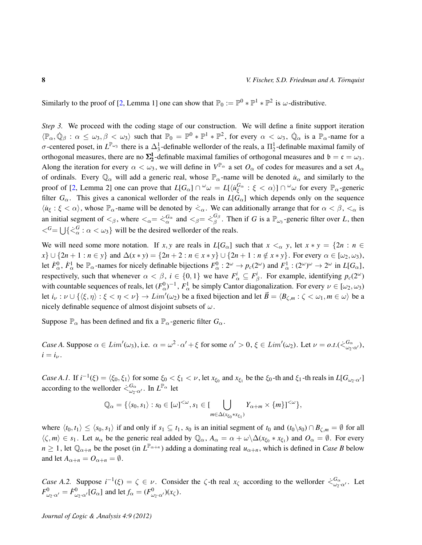Similarly to the proof of [\[2,](#page-13-1) Lemma 1] one can show that  $\mathbb{P}_0 := \mathbb{P}^0 * \mathbb{P}^1 * \mathbb{P}^2$  is  $\omega$ -distributive.

*Step 3.* We proceed with the coding stage of our construction. We will define a finite support iteration  $\langle \mathbb{P}_{\alpha}, \dot{\mathbb{Q}}_{\beta} : \alpha \leq \omega_3, \beta < \omega_3 \rangle$  such that  $\mathbb{P}_0 = \mathbb{P}^0 * \mathbb{P}^1 * \mathbb{P}^2$ , for every  $\alpha < \omega_3$ ,  $\dot{\mathbb{Q}}_{\alpha}$  is a  $\mathbb{P}_{\alpha}$ -name for a  $\sigma$ -centered poset, in  $L^{\mathbb{P}_{\omega_3}}$  there is a  $\Delta_3^1$ -definable wellorder of the reals, a  $\Pi_2^1$ -definable maximal family of orthogonal measures, there are no  $\Sigma_2^1$ -definable maximal families of orthogonal measures and  $\mathfrak{b} = \mathfrak{c} = \omega_3$ . Along the iteration for every  $\alpha < \omega_3$ , we will define in  $V^{\mathbb{P}_{\alpha}}$  a set  $O_\alpha$  of codes for measures and a set  $A_\alpha$ of ordinals. Every  $\mathbb{Q}_\alpha$  will add a generic real, whose  $\mathbb{P}_\alpha$ -name will be denoted  $u_\alpha$  and similarly to the proof of [\[2,](#page-13-1) Lemma 2] one can prove that  $L[G_\alpha] \cap {}^\omega{\omega} = L[\langle i \iota_{\xi}^{G_\alpha} : \xi < \alpha \rangle] \cap {}^\omega{\omega}$  for every  ${\mathbb P}_\alpha$ -generic filter  $G_\alpha$ . This gives a canonical wellorder of the reals in  $L[G_\alpha]$  which depends only on the sequence  $\langle u_{\xi} : \xi < \alpha \rangle$ , whose  $\mathbb{P}_{\alpha}$ -name will be denoted by  $\langle \alpha \rangle$ . We can additionally arrange that for  $\alpha < \beta$ ,  $\langle \alpha \rangle$  is an initial segment of  $\lt_{\beta}$ , where  $\lt_{\alpha} = \dot{\lt}_{\alpha}^{G_{\alpha}}$  and  $\lt_{\beta} = \dot{\lt}_{\beta}^{G_{\beta}}$  $\frac{G_{\beta}}{\beta}$ . Then if *G* is a  $\mathbb{P}_{\omega_3}$ -generic filter over *L*, then  $\langle \zeta^G = \bigcup \{ \zeta^G_\alpha : \alpha < \omega_3 \}$  will be the desired wellorder of the reals.

We will need some more notation. If *x*, *y* are reals in  $L[G_\alpha]$  such that  $x <_\alpha y$ , let  $x * y = \{2n : n \in$ *x*} ∪ {2*n* + 1 : *n* ∈ *y*} and  $\Delta(x * y) = \{2n + 2 : n \in x * y\}$  ∪ {2*n* + 1 : *n* ∉ *x* \* *y*}. For every  $\alpha \in [\omega_2, \omega_3)$ , let  $\dot{F}^0_\alpha$ ,  $\dot{F}^1_\alpha$  be  $\mathbb{P}_\alpha$ -names for nicely definable bijections  $F^0_\alpha: 2^\omega \to p_c(2^\omega)$  and  $F^1_\alpha: (2^\omega)^\omega \to 2^\omega$  in  $L[G_\alpha]$ , respectively, such that whenever  $\alpha < \beta$ ,  $i \in \{0, 1\}$  we have  $F^i_\alpha \subseteq F^i_\beta$ . For example, identifying  $p_c(2^\omega)$ with countable sequences of reals, let  $(F^0_\alpha)^{-1}$ ,  $F^1_\alpha$  be simply Cantor diagonalization. For every  $\nu \in [\omega_2, \omega_3)$ let  $i_{\nu} : \nu \cup \{\langle \xi, \eta \rangle : \xi < \eta < \nu\} \to Lim'(\omega_2)$  be a fixed bijection and let  $\vec{B} = \langle B_{\zeta,m} : \zeta < \omega_1, m \in \omega \rangle$  be a nicely definable sequence of almost disjoint subsets of  $\omega$ .

Suppose  $\mathbb{P}_{\alpha}$  has been defined and fix a  $\mathbb{P}_{\alpha}$ -generic filter  $G_{\alpha}$ .

*Case A.* Suppose  $\alpha \in Lim'(\omega_3)$ , i.e.  $\alpha = \omega^2 \cdot \alpha' + \xi$  for some  $\alpha' > 0$ ,  $\xi \in Lim'(\omega_2)$ . Let  $\nu = o.t.(\xi_{\omega_2 \cdot \alpha'}^{\mathbb{G}_{\alpha}})$ ,  $i = i_{\nu}$ .

*Case A.1.* If  $i^{-1}(\xi) = \langle \xi_0, \xi_1 \rangle$  for some  $\xi_0 < \xi_1 < \nu$ , let  $x_{\xi_0}$  and  $x_{\xi_1}$  be the  $\xi_0$ -th and  $\xi_1$ -th reals in  $L[G_{\omega_2} \cdot \alpha']$ according to the wellorder  $\leq^{\mathbb{G}_{\alpha}}_{\omega_2 \cdot \alpha'}$ . In  $L^{\mathbb{P}_{\alpha}}$  let

$$
\mathbb{Q}_{\alpha} = \{ \langle s_0, s_1 \rangle : s_0 \in [\omega]^{<\omega}, s_1 \in [\bigcup_{m \in \Delta(x_{\xi_0} * x_{\xi_1})} Y_{\alpha+m} \times \{m\}]^{<\omega} \},
$$

where  $\langle t_0, t_1 \rangle \leq \langle s_0, s_1 \rangle$  if and only if  $s_1 \subseteq t_1$ ,  $s_0$  is an initial segment of  $t_0$  and  $(t_0 \setminus s_0) \cap B_{\zeta, m} = \emptyset$  for all  $\langle \zeta, m \rangle \in s_1$ . Let  $u_\alpha$  be the generic real added by  $\mathbb{Q}_\alpha$ ,  $A_\alpha = \alpha + \omega \setminus \Delta(x_{\xi_0} * x_{\xi_1})$  and  $O_\alpha = \emptyset$ . For every  $n \geq 1$ , let  $\mathbb{Q}_{\alpha+n}$  be the poset (in  $L^{\mathbb{P}_{\alpha+n}}$ ) adding a dominating real  $u_{\alpha+n}$ , which is defined in *Case B* below and let  $A_{\alpha+n} = O_{\alpha+n} = \emptyset$ .

*Case A.2.* Suppose  $i^{-1}(\xi) = \zeta \in \nu$ . Consider the  $\zeta$ -th real  $x_{\zeta}$  according to the wellorder  $\zeta_{\omega_2,\alpha'}^{\mathcal{G}_{\alpha}}$ . Let  $F^0_{\omega_2 \cdot \alpha'} = \dot{F}^0_{\omega_2 \cdot \alpha'} [G_\alpha]$  and let  $f_\alpha = (F^0_{\omega_2 \cdot \alpha'})(x_\zeta)$ .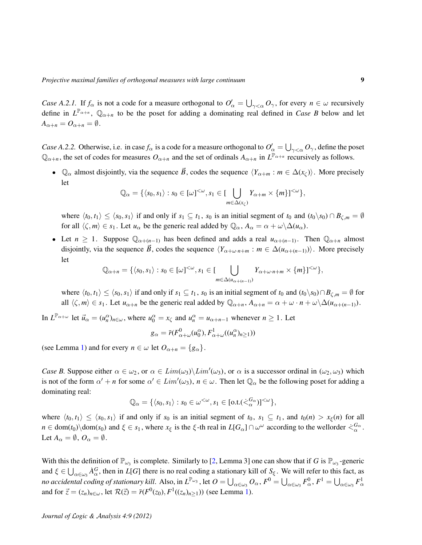*Case A.2.1.* If  $f_\alpha$  is not a code for a measure orthogonal to  $O'_\alpha = \bigcup_{\gamma < \alpha} O_\gamma$ , for every  $n \in \omega$  recursively define in  $L^{\mathbb{P}_{\alpha+n}}$ ,  $\mathbb{Q}_{\alpha+n}$  to be the poset for adding a dominating real defined in *Case B* below and let  $A_{\alpha+n} = O_{\alpha+n} = \emptyset.$ 

*Case A.2.2.* Otherwise, i.e. in case  $f_\alpha$  is a code for a measure orthogonal to  $O'_\alpha = \bigcup_{\gamma<\alpha} O_\gamma$ , define the poset  $\mathbb{Q}_{\alpha+n}$ , the set of codes for measures  $O_{\alpha+n}$  and the set of ordinals  $A_{\alpha+n}$  in  $L^{\mathbb{P}_{\alpha+n}}$  recursively as follows.

•  $\mathbb{Q}_{\alpha}$  almost disjointly, via the sequence  $\vec{B}$ , codes the sequence  $\langle Y_{\alpha+m} : m \in \Delta(x_{\zeta}) \rangle$ . More precisely let

$$
\mathbb{Q}_{\alpha} = \{ \langle s_0, s_1 \rangle : s_0 \in [\omega]^{<\omega}, s_1 \in [\bigcup_{m \in \Delta(x_{\zeta})} Y_{\alpha+m} \times \{m\}]^{<\omega} \},
$$

where  $\langle t_0, t_1 \rangle \leq \langle s_0, s_1 \rangle$  if and only if  $s_1 \subseteq t_1$ ,  $s_0$  is an initial segment of  $t_0$  and  $(t_0 \setminus s_0) \cap B_{\zeta,m} = \emptyset$ for all  $\langle \zeta, m \rangle \in s_1$ . Let  $u_\alpha$  be the generic real added by  $\mathbb{Q}_\alpha$ ,  $A_\alpha = \alpha + \omega \backslash \Delta(u_\alpha)$ .

• Let  $n \geq 1$ . Suppose  $\mathbb{Q}_{\alpha+(n-1)}$  has been defined and adds a real  $u_{\alpha+(n-1)}$ . Then  $\mathbb{Q}_{\alpha+n}$  almost disjointly, via the sequence  $\vec{B}$ , codes the sequence  $\langle Y_{\alpha+\omega\cdot n+m} : m \in \Delta(u_{\alpha+(n-1)}) \rangle$ . More precisely let

$$
\mathbb{Q}_{\alpha+n} = \{ \langle s_0, s_1 \rangle : s_0 \in [\omega]^{<\omega}, s_1 \in [\bigcup_{m \in \Delta(u_{\alpha+(n-1)})} Y_{\alpha+\omega \cdot n+m} \times \{m\}]^{<\omega} \},\
$$

where  $\langle t_0, t_1 \rangle \leq \langle s_0, s_1 \rangle$  if and only if  $s_1 \subseteq t_1$ ,  $s_0$  is an initial segment of  $t_0$  and  $(t_0 \setminus s_0) \cap B_{\zeta,m} = \emptyset$  for all  $\langle \zeta, m \rangle \in s_1$ . Let  $u_{\alpha+n}$  be the generic real added by  $\mathbb{Q}_{\alpha+n}$ ,  $A_{\alpha+n} = \alpha + \omega \cdot n + \omega \setminus \Delta(u_{\alpha+(n-1)})$ .

In  $L^{\mathbb{P}_{\alpha+\omega}}$  let  $\vec{u}_{\alpha} = (u_n^{\alpha})_{n \in \omega}$ , where  $u_0^{\alpha} = x_{\zeta}$  and  $u_n^{\alpha} = u_{\alpha+n-1}$  whenever  $n \ge 1$ . Let

$$
g_{\alpha} = \bar{r}(F_{\alpha+\omega}^{0}(u_{0}^{\alpha}), F_{\alpha+\omega}^{1}((u_{n}^{\alpha})_{n\geq 1}))
$$

(see Lemma [1\)](#page-2-0) and for every  $n \in \omega$  let  $O_{\alpha+n} = \{g_{\alpha}\}.$ 

*Case B.* Suppose either  $\alpha \in \omega_2$ , or  $\alpha \in Lim(\omega_3) \setminus Lim'(\omega_3)$ , or  $\alpha$  is a successor ordinal in  $(\omega_2, \omega_3)$  which is not of the form  $\alpha' + n$  for some  $\alpha' \in Lim'(\omega_3)$ ,  $n \in \omega$ . Then let  $\mathbb{Q}_\alpha$  be the following poset for adding a dominating real:

$$
\mathbb{Q}_{\alpha} = \{ \langle s_0, s_1 \rangle : s_0 \in \omega^{<\omega}, s_1 \in [\text{o.t.}(\dot{\leq}_{\alpha}^{G_{\alpha}})]^{<\omega} \},
$$

where  $\langle t_0, t_1 \rangle \leq \langle s_0, s_1 \rangle$  if and only if  $s_0$  is an initial segment of  $t_0$ ,  $s_1 \subseteq t_1$ , and  $t_0(n) > x_{\xi}(n)$  for all  $n \in \text{dom}(t_0) \setminus \text{dom}(s_0)$  and  $\xi \in s_1$ , where  $x_{\xi}$  is the  $\xi$ -th real in  $L[G_{\alpha}] \cap \omega^{\omega}$  according to the wellorder  $\dot{\leq}^{\,G_{\alpha}}_{\alpha}$ . Let  $A_\alpha = \emptyset$ ,  $O_\alpha = \emptyset$ .

With this the definition of  $\mathbb{P}_{\omega_3}$  is complete. Similarly to [\[2,](#page-13-1) Lemma 3] one can show that if *G* is  $\mathbb{P}_{\omega_3}$ -generic and  $\xi \in \bigcup_{\alpha \in \omega_3} \hat{A}_{\alpha}^G$ , then in *L*[*G*] there is no real coding a stationary kill of  $S_{\xi}$ . We will refer to this fact, as *no accidental coding of stationary kill.* Also, in  $L^{p_{\omega_3}}$ , let  $O = \bigcup_{\alpha \in \omega_3} O_\alpha$ ,  $F^0 = \bigcup_{\alpha \in \omega_3} F_\alpha^0$ ,  $F^1 = \bigcup_{\alpha \in \omega_3} F_\alpha^1$ and for  $\vec{z} = (z_n)_{n \in \omega}$ , let  $\mathcal{R}(\vec{z}) = \vec{r}(F^0(z_0), F^1((z_n)_{n \ge 1}))$  (see Lemma [1\)](#page-2-0).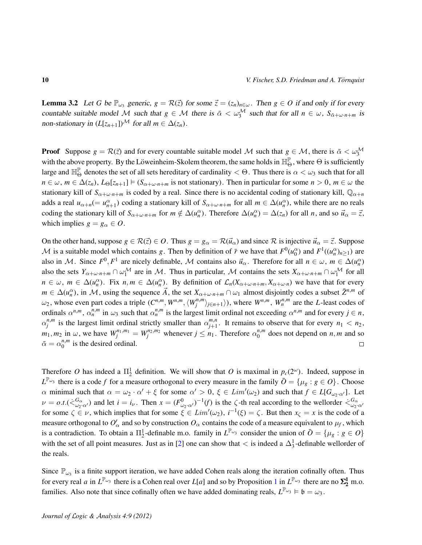**Lemma 3.2** Let *G* be  $\mathbb{P}_{\omega_3}$  generic,  $g = \mathcal{R}(\vec{z})$  for some  $\vec{z} = (z_n)_{n \in \omega}$ . Then  $g \in O$  if and only if for every countable suitable model M such that  $g \in M$  there is  $\bar{\alpha} < \omega_3^M$  such that for all  $n \in \omega$ ,  $S_{\bar{\alpha}+\omega\cdot n+m}$  is non-stationary in  $(L[z_{n+1}])^{\mathcal{M}}$  for all  $m \in \Delta(z_n)$ .

**Proof** Suppose  $g = \mathcal{R}(\vec{z})$  and for every countable suitable model M such that  $g \in \mathcal{M}$ , there is  $\vec{\alpha} < \omega_3^{\mathcal{M}}$ with the above property. By the Löweinheim-Skolem theorem, the same holds in  $\mathbb{H}_{\Theta}^{\mathbb{P}}$ , where  $\Theta$  is sufficiently large and  $\mathbb{H}^{\mathbb{P}}_{\Theta}$  denotes the set of all sets hereditary of cardinality  $<\Theta$ . Thus there is  $\alpha<\omega_3$  such that for all  $n \in \omega$ ,  $m \in \Delta(z_n)$ ,  $L_{\Theta}[z_{n+1}] \models (S_{\alpha+\omega \cdot n+m}$  is not stationary). Then in particular for some  $n > 0$ ,  $m \in \omega$  the stationary kill of  $S_{\alpha+\omega\cdot n+m}$  is coded by a real. Since there is no accidental coding of stationary kill,  $\mathbb{Q}_{\alpha+n}$ adds a real  $u_{\alpha+n} (= u_{n+1}^{\alpha})$  coding a stationary kill of  $S_{\alpha+\omega \cdot n+m}$  for all  $m \in \Delta(u_n^{\alpha})$ , while there are no reals coding the stationary kill of  $S_{\alpha+\omega \cdot n+m}$  for  $m \notin \Delta(u_n^{\alpha})$ . Therefore  $\Delta(u_n^{\alpha}) = \Delta(z_n)$  for all *n*, and so  $\vec{u}_{\alpha} = \vec{z}$ , which implies  $g = g_\alpha \in O$ .

On the other hand, suppose  $g \in \mathcal{R}(\vec{z}) \in O$ . Thus  $g = g_\alpha = \mathcal{R}(\vec{u}_\alpha)$  and since  $\mathcal R$  is injective  $\vec{u}_\alpha = \vec{z}$ . Suppose M is a suitable model which contains *g*. Then by definition of  $\bar{r}$  we have that  $F^0(u_0^{\alpha})$  and  $F^1((u_n^{\alpha})_{n\geq 1})$  are also in M. Since  $F^0, F^1$  are nicely definable, M contains also  $\vec{u}_\alpha$ . Therefore for all  $n \in \omega$ ,  $m \in \Delta(u_n^\alpha)$ also the sets  $Y_{\alpha+\omega \cdot n+m} \cap \omega_1^{\mathcal{M}}$  are in M. Thus in particular, M contains the sets  $X_{\alpha+\omega \cdot n+m} \cap \omega_1^{\mathcal{M}}$  for all  $n \in \omega$ ,  $m \in \Delta(u_n^{\alpha})$ . Fix  $n, m \in \Delta(u_n^{\alpha})$ . By definition of  $\mathcal{L}_n(X_{\alpha+\omega \cdot n+m}, X_{\alpha+\omega \cdot n})$  we have that for every  $m \in \Delta(u_n^{\alpha})$ , in M, using the sequence  $\vec{A}$ , the set  $X_{\alpha+\omega \cdot n+m} \cap \omega_1$  almost disjointly codes a subset  $\vec{Z}^{n,m}$  of  $\omega_2$ , whose even part codes a triple  $(C^{n,m}, W^{n,m}, \langle W_i^{n,m}, W_i^{n,m}, \rangle)$  $\langle j^{n,m} \rangle_{j \in n+1} \rangle$ ), where *W<sup>n,m</sup>*, *W<sub>n</sub><sup>n,m</sup>* are the *L*-least codes of ordinals  $\alpha^{n,m}$ ,  $\alpha_n^{n,m}$  in  $\omega_3$  such that  $\alpha_n^{n,m}$  is the largest limit ordinal not exceeding  $\alpha^{n,m}$  and for every  $j \in n$ ,  $\alpha_i^{n,m}$  $\alpha_j^{n,m}$  is the largest limit ordinal strictly smaller than  $\alpha_{j+1}^{m,n}$  $j_{j+1}^{m,n}$ . It remains to observe that for every  $n_1 < n_2$ ,  $m_1, m_2$  in  $\omega$ , we have  $W_j^{n_1, m_1} = W_j^{n_2, m_2}$  whenever  $j \leq n_1$ . Therefore  $\alpha_0^{n, m_1}$  $\binom{n,m}{0}$  does not depend on *n*, *m* and so  $\bar{\alpha} = \alpha_0^{n,m}$  $\binom{n,m}{0}$  is the desired ordinal.  $\Box$ 

Therefore O has indeed a  $\Pi_2^1$  definition. We will show that O is maximal in  $p_c(2^{\omega})$ . Indeed, suppose in  $L^{\mathbb{P}_{\omega_3}}$  there is a code *f* for a measure orthogonal to every measure in the family  $\bar{O} = {\mu_g : g \in O}$ . Choose  $\alpha$  minimal such that  $\alpha = \omega_2 \cdot \alpha' + \xi$  for some  $\alpha' > 0$ ,  $\xi \in Lim'(\omega_2)$  and such that  $f \in L[G_{\omega_2} \cdot \alpha']$ . Let  $\nu = o.t.(\langle \zeta_{\omega_2 \cdot \alpha'}^{\mathbb{G}_{\alpha}} \rangle$  and let  $i = i_{\nu}$ . Then  $x = (F_{\omega_2 \cdot \alpha'}^0)^{-1}(f)$  is the  $\zeta$ -th real according to the wellorder  $\langle \zeta_{\omega_2 \cdot \alpha'}^{\mathbb{G}_{\alpha}} \rangle$ for some  $\zeta \in \nu$ , which implies that for some  $\xi \in Lim'(\omega_2)$ ,  $i^{-1}(\xi) = \zeta$ . But then  $x_{\zeta} = x$  is the code of a measure orthogonal to  $O'_\alpha$  and so by construction  $O_\alpha$  contains the code of a measure equivalent to  $\mu_f$ , which is a contradiction. To obtain a  $\Pi_2^1$ -definable m.o. family in  $L^{\mathbb{P}_{\omega_3}}$  consider the union of  $\overline{O} = {\mu_g : g \in O}$ with the set of all point measures. Just as in [\[2\]](#page-13-1) one can show that  $\lt$  is indeed a  $\Delta_3^1$ -definable wellorder of the reals.

Since  $\mathbb{P}_{\omega_3}$  is a finite support iteration, we have added Cohen reals along the iteration cofinally often. Thus for every real *a* in  $L^{\mathbb{P}_{\omega_3}}$  there is a Cohen real over *L*[*a*] and so by Proposition [1](#page-3-0) in  $L^{\mathbb{P}_{\omega_3}}$  there are no  $\Sigma_2^1$  m.o. families. Also note that since cofinally often we have added dominating reals,  $L^{\mathbb{P}_{\omega_3}} \models \mathfrak{b} = \omega_3$ .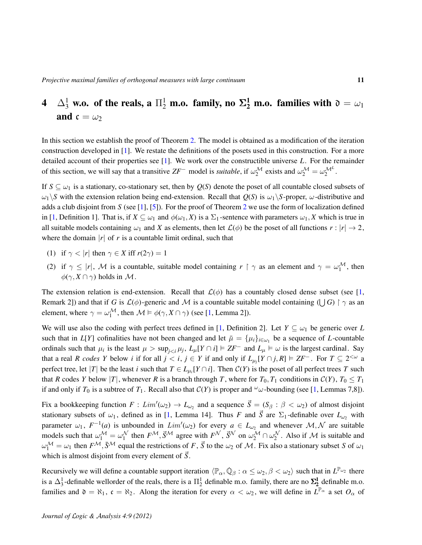## 4  $\Delta^1_3$  w.o. of the reals, a  $\Pi^1_2$  m.o. family, no  $\mathbf{\Sigma^1_2}$  m.o. families with  $\mathfrak{d}=\omega_1$ and  $c = \omega_2$

In this section we establish the proof of Theorem [2.](#page-1-1) The model is obtained as a modification of the iteration construction developed in [\[1\]](#page-13-0). We restate the definitions of the posets used in this construction. For a more detailed account of their properties see [\[1\]](#page-13-0). We work over the constructible universe *L*. For the remainder of this section, we will say that a transitive  $ZF^-$  model is *suitable*, if  $\omega_2^{\mathcal{M}}$  exists and  $\omega_2^{\mathcal{M}} = \omega_2^{\mathcal{M}^L}$ .

If  $S \subseteq \omega_1$  is a stationary, co-stationary set, then by  $Q(S)$  denote the poset of all countable closed subsets of  $\omega_1$  *S* with the extension relation being end-extension. Recall that  $Q(S)$  is  $\omega_1 \backslash S$ -proper,  $\omega$ -distributive and adds a club disjoint from *S* (see [\[1\]](#page-13-0), [\[5\]](#page-14-11)). For the proof of Theorem [2](#page-1-1) we use the form of localization defined in [\[1,](#page-13-0) Definition 1]. That is, if  $X \subseteq \omega_1$  and  $\phi(\omega_1, X)$  is a  $\Sigma_1$ -sentence with parameters  $\omega_1, X$  which is true in all suitable models containing  $\omega_1$  and *X* as elements, then let  $\mathcal{L}(\phi)$  be the poset of all functions  $r : |r| \to 2$ , where the domain  $|r|$  of r is a countable limit ordinal, such that

- (1) if  $\gamma < |r|$  then  $\gamma \in X$  iff  $r(2\gamma) = 1$
- (2) if  $\gamma \leq |r|$ , M is a countable, suitable model containing  $r \restriction \gamma$  as an element and  $\gamma = \omega_1^{\mathcal{M}}$ , then  $\phi(\gamma, X \cap \gamma)$  holds in M.

The extension relation is end-extension. Recall that  $\mathcal{L}(\phi)$  has a countably closed dense subset (see [\[1,](#page-13-0) Remark 2]) and that if *G* is  $\mathcal{L}(\phi)$ -generic and M is a countable suitable model containing ( $\bigcup G$ )  $\upharpoonright \gamma$  as an element, where  $\gamma = \omega_1^{\mathcal{M}}$ , then  $\mathcal{M} \models \phi(\gamma, X \cap \gamma)$  (see [\[1,](#page-13-0) Lemma 2]).

We will use also the coding with perfect trees defined in [\[1,](#page-13-0) Definition 2]. Let  $Y \subseteq \omega_1$  be generic over *L* such that in *L*[*Y*] cofinalities have not been changed and let  $\bar{\mu} = {\mu_i}_{i \in \omega_1}$  be a sequence of *L*-countable ordinals such that  $\mu_i$  is the least  $\mu > \sup_{j \le i} \mu_j$ ,  $L_\mu[Y \cap i] \models ZF^-$  and  $L_\mu \models \omega$  is the largest cardinal. Say that a real *R* codes *Y* below *i* if for all  $j < i$ ,  $j \in Y$  if and only if  $L_{\mu_j}[Y \cap j, R] \models ZF^-$ . For  $T \subseteq 2^{<\omega}$  a perfect tree, let |*T*| be the least *i* such that  $T \in L_{\mu_i}[Y \cap i]$ . Then  $C(Y)$  is the poset of all perfect trees *T* such that *R* codes *Y* below |*T*|, whenever *R* is a branch through *T*, where for  $T_0$ ,  $T_1$  conditions in  $C(Y)$ ,  $T_0 \le T_1$ if and only if  $T_0$  is a subtree of  $T_1$ . Recall also that  $C(Y)$  is proper and  $\omega$ -bounding (see [\[1,](#page-13-0) Lemmas 7,8]).

Fix a bookkeeping function  $F: Lim'(\omega_2) \to L_{\omega_2}$  and a sequence  $\vec{S} = (S_\beta : \beta < \omega_2)$  of almost disjoint stationary subsets of  $\omega_1$ , defined as in [\[1,](#page-13-0) Lemma 14]. Thus *F* and  $\vec{S}$  are  $\Sigma_1$ -definable over  $L_{\omega_2}$  with parameter  $\omega_1$ ,  $F^{-1}(a)$  is unbounded in  $Lim'(\omega_2)$  for every  $a \in L_{\omega_2}$  and whenever  $\mathcal{M}, \mathcal{N}$  are suitable models such that  $\omega_1^{\mathcal{M}} = \omega_1^{\mathcal{N}}$  then  $F^{\mathcal{M}}, \vec{S}^{\mathcal{M}}$  agree with  $F^{\mathcal{N}}, \vec{S}^{\mathcal{N}}$  on  $\omega_2^{\mathcal{M}} \cap \omega_2^{\mathcal{N}}$ . Also if  $\mathcal{M}$  is suitable and  $\omega_1^{\mathcal{M}} = \omega_1$  then  $F^{\mathcal{M}}, \bar{S}^{\mathcal{M}}$  equal the restrictions of *F*,  $\vec{S}$  to the  $\omega_2$  of *M*. Fix also a stationary subset *S* of  $\omega_1$ which is almost disjoint from every element of  $\vec{S}$ .

Recursively we will define a countable support iteration  $\langle \mathbb{P}_\alpha, \dot{\mathbb{Q}}_\beta : \alpha \leq \omega_2, \beta < \omega_2 \rangle$  such that in  $L^{\mathbb{P}_{\omega_2}}$  there is a  $\Delta_3^1$ -definable wellorder of the reals, there is a  $\Pi_2^1$  definable m.o. family, there are no  $\Sigma_2^1$  definable m.o. families and  $\mathfrak{d} = \aleph_1$ ,  $\mathfrak{c} = \aleph_2$ . Along the iteration for every  $\alpha < \omega_2$ , we will define in  $L^{\mathbb{P}_{\alpha}}$  a set  $O_{\alpha}$  of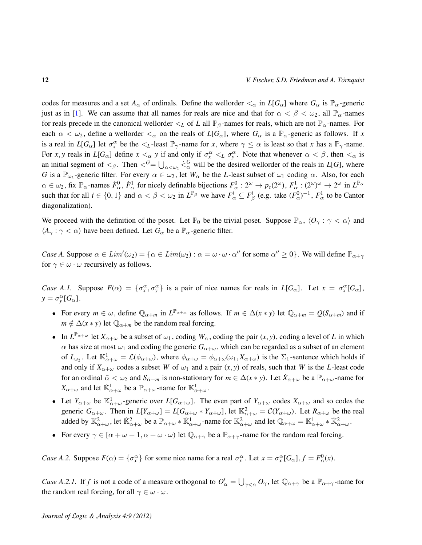codes for measures and a set  $A_\alpha$  of ordinals. Define the wellorder  $\lt_\alpha$  in  $L[G_\alpha]$  where  $G_\alpha$  is  $\mathbb{P}_\alpha$ -generic just as in [\[1\]](#page-13-0). We can assume that all names for reals are nice and that for  $\alpha < \beta < \omega_2$ , all  $\mathbb{P}_\alpha$ -names for reals precede in the canonical wellorder  $\lt_L$  of *L* all  $\mathbb{P}_{\beta}$ -names for reals, which are not  $\mathbb{P}_{\alpha}$ -names. For each  $\alpha < \omega_2$ , define a wellorder  $\lt_{\alpha}$  on the reals of  $L[G_\alpha]$ , where  $G_\alpha$  is a  $\mathbb{P}_\alpha$ -generic as follows. If x is a real in  $L[G_\alpha]$  let  $\sigma_x^{\alpha}$  be the  $\lt_L$ -least  $\mathbb{P}_\gamma$ -name for *x*, where  $\gamma \leq \alpha$  is least so that *x* has a  $\mathbb{P}_\gamma$ -name. For *x*, *y* reals in  $L[G_\alpha]$  define  $x <_\alpha y$  if and only if  $\sigma_x^\alpha <_L \sigma_y^\alpha$ . Note that whenever  $\alpha < \beta$ , then  $\lt_\alpha$  is an initial segment of  $\lt_{\beta}$ . Then  $\lt^G = \bigcup_{\alpha \lt \omega_2} \lt^G_\alpha$  will be the desired wellorder of the reals in *L*[*G*], where *G* is a  $\mathbb{P}_{\omega_2}$ -generic filter. For every  $\alpha \in \omega_2$ , let  $W_\alpha$  be the *L*-least subset of  $\omega_1$  coding  $\alpha$ . Also, for each  $\alpha \in \omega_2$ , fix  $\mathbb{P}_\alpha$ -names  $\dot{F}^0_\alpha$ ,  $\dot{F}^1_\alpha$  for nicely definable bijections  $F^0_\alpha : 2^\omega \to p_c(2^\omega)$ ,  $F^1_\alpha : (2^\omega)^\omega \to 2^\omega$  in  $L^{\mathbb{P}_\alpha}$ such that for all  $i \in \{0, 1\}$  and  $\alpha < \beta < \omega_2$  in  $L^{\mathbb{P}_\beta}$  we have  $F^i_\alpha \subseteq F^i_\beta$  (e.g. take  $(F^0_\alpha)^{-1}$ ,  $F^1_\alpha$  to be Cantor diagonalization).

We proceed with the definition of the poset. Let  $\mathbb{P}_0$  be the trivial poset. Suppose  $\mathbb{P}_\alpha$ ,  $\langle O_\gamma : \gamma < \alpha \rangle$  and  $\langle A_{\gamma} : \gamma < \alpha \rangle$  have been defined. Let  $G_{\alpha}$  be a  $\mathbb{P}_{\alpha}$ -generic filter.

*Case A.* Suppose  $\alpha \in Lim'(\omega_2) = {\alpha \in Lim(\omega_2) : \alpha = \omega \cdot \omega \cdot \alpha''}$  for some  $\alpha'' \ge 0$ . We will define  $\mathbb{P}_{\alpha+\gamma}$ for  $\gamma \in \omega \cdot \omega$  recursively as follows.

*Case A.1.* Suppose  $F(\alpha) = {\sigma_x^{\alpha}, \sigma_y^{\alpha}}$  is a pair of nice names for reals in  $L[G_{\alpha}]$ . Let  $x = \sigma_x^{\alpha}[G_{\alpha}]$ ,  $y = \sigma_y^{\alpha} [G_{\alpha}].$ 

- For every  $m \in \omega$ , define  $\mathbb{Q}_{\alpha+m}$  in  $L^{\mathbb{P}_{\alpha+m}}$  as follows. If  $m \in \Delta(x*y)$  let  $\mathbb{Q}_{\alpha+m} = Q(S_{\alpha+m})$  and if  $m \notin \Delta(x * y)$  let  $\mathbb{Q}_{\alpha+m}$  be the random real forcing.
- In  $L^{\mathbb{P}_{\alpha+\omega}}$  let  $X_{\alpha+\omega}$  be a subset of  $\omega_1$ , coding  $W_\alpha$ , coding the pair  $(x, y)$ , coding a level of *L* in which  $\alpha$  has size at most  $\omega_1$  and coding the generic  $G_{\alpha+\omega}$ , which can be regarded as a subset of an element of  $L_{\omega_2}$ . Let  $\mathbb{K}_{\alpha+\omega}^1 = \mathcal{L}(\phi_{\alpha+\omega})$ , where  $\phi_{\alpha+\omega} = \phi_{\alpha+\omega}(\omega_1, X_{\alpha+\omega})$  is the  $\Sigma_1$ -sentence which holds if and only if  $X_{\alpha+\omega}$  codes a subset *W* of  $\omega_1$  and a pair  $(x, y)$  of reals, such that *W* is the *L*-least code for an ordinal  $\bar{\alpha} < \omega_2$  and  $S_{\bar{\alpha}+m}$  is non-stationary for  $m \in \Delta(x*y)$ . Let  $\bar{X}_{\alpha+\omega}$  be a  $\mathbb{P}_{\alpha+\omega}$ -name for  $X_{\alpha+\omega}$  and let  $\dot{\mathbb{K}}_{\alpha+\omega}^1$  be a  $\mathbb{P}_{\alpha+\omega}$ -name for  $\mathbb{K}_{\alpha+\omega}^1$ .
- Let  $Y_{\alpha+\omega}$  be  $\mathbb{K}_{\alpha+\omega}^1$ -generic over  $L[G_{\alpha+\omega}]$ . The even part of  $Y_{\alpha+\omega}$  codes  $X_{\alpha+\omega}$  and so codes the generic  $G_{\alpha+\omega}$ . Then in  $L[Y_{\alpha+\omega}] = L[G_{\alpha+\omega} * Y_{\alpha+\omega}]$ , let  $\mathbb{K}^2_{\alpha+\omega} = C(Y_{\alpha+\omega})$ . Let  $R_{\alpha+\omega}$  be the real added by  $\mathbb{K}_{\alpha+\omega}^2$ , let  $\dot{\mathbb{K}}_{\alpha+\omega}^2$  be a  $\mathbb{P}_{\alpha+\omega} * \dot{\mathbb{K}}_{\alpha+\omega}^1$ -name for  $\mathbb{K}_{\alpha+\omega}^2$  and let  $\mathbb{Q}_{\alpha+\omega} = \mathbb{K}_{\alpha+\omega}^1 * \dot{\mathbb{K}}_{\alpha+\omega}^2$ .
- For every  $\gamma \in [\alpha + \omega + 1, \alpha + \omega \cdot \omega)$  let  $\mathbb{Q}_{\alpha+\gamma}$  be a  $\mathbb{P}_{\alpha+\gamma}$ -name for the random real forcing.

*Case A.2.* Suppose  $F(\alpha) = \{\sigma_x^{\alpha}\}\$  for some nice name for a real  $\sigma_x^{\alpha}$ . Let  $x = \sigma_x^{\alpha}[G_{\alpha}], f = F_{\alpha}^0(x)$ .

*Case A.2.1.* If *f* is not a code of a measure orthogonal to  $O'_\n{\alpha} = \bigcup_{\gamma < \alpha} O_\gamma$ , let  $\mathbb{Q}_{\alpha+\gamma}$  be a  $\mathbb{P}_{\alpha+\gamma}$ -name for the random real forcing, for all  $\gamma \in \omega \cdot \omega$ .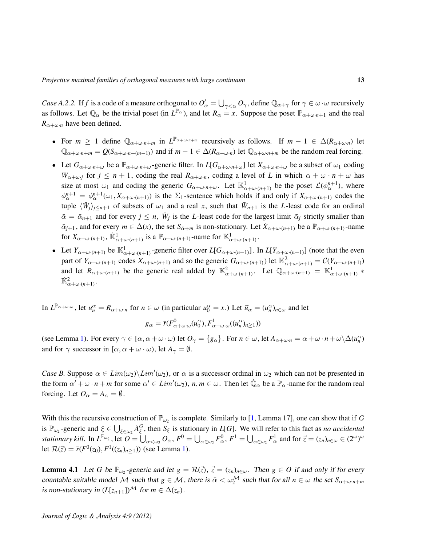*Case A.2.2.* If *f* is a code of a measure orthogonal to  $O'_\n\alpha = \bigcup_{\gamma < \alpha} O_\gamma$ , define  $\mathbb{Q}_{\alpha+\gamma}$  for  $\gamma \in \omega \cdot \omega$  recursively as follows. Let  $\mathbb{Q}_\alpha$  be the trivial poset (in  $L^{\mathbb{P}_\alpha}$ ), and let  $R_\alpha = x$ . Suppose the poset  $\mathbb{P}_{\alpha+\omega \cdot n+1}$  and the real  $R_{\alpha+\omega\cdot n}$  have been defined.

- For  $m \ge 1$  define  $\mathbb{Q}_{\alpha+\omega\cdot n+m}$  in  $L^{\mathbb{P}_{\alpha+\omega\cdot n+m}}$  recursively as follows. If  $m-1 \in \Delta(R_{\alpha+\omega\cdot n})$  let  $\mathbb{Q}_{\alpha+\omega\cdot n+m} = Q(S_{\alpha+\omega\cdot n+(m-1)})$  and if  $m-1 \in \Delta(R_{\alpha+\omega\cdot n})$  let  $\mathbb{Q}_{\alpha+\omega\cdot n+m}$  be the random real forcing.
- Let  $G_{\alpha+\omega\cdot n+\omega}$  be a  $\mathbb{P}_{\alpha+\omega\cdot n+\omega}$ -generic filter. In  $L[G_{\alpha+\omega\cdot n+\omega}]$  let  $X_{\alpha+\omega\cdot n+\omega}$  be a subset of  $\omega_1$  coding *W*<sub>α+ω</sub>*<sub><i>j*</sub> for  $j \le n + 1$ , coding the real  $R_{\alpha+\omega}$ <sub>*n*</sub>, coding a level of *L* in which  $\alpha + \omega \cdot n + \omega$  has size at most  $\omega_1$  and coding the generic  $G_{\alpha+\omega\cdot n+\omega}$ . Let  $\mathbb{K}^1_{\alpha+\omega\cdot (n+1)}$  be the poset  $\mathcal{L}(\phi^{n+1}_{\alpha})$ , where  $\phi_{\alpha}^{n+1} = \phi_{\alpha}^{n+1}(\omega_1, X_{\alpha+\omega \cdot (n+1)})$  is the  $\Sigma_1$ -sentence which holds if and only if  $X_{\alpha+\omega \cdot (n+1)}$  codes the tuple  $\langle \bar{W}_j \rangle_{j \leq n+1}$  of subsets of  $\omega_1$  and a real *x*, such that  $\bar{W}_{n+1}$  is the *L*-least code for an ordinal  $\bar{\alpha} = \bar{\alpha}_{n+1}$  and for every  $j \leq n$ ,  $\bar{W}_j$  is the *L*-least code for the largest limit  $\bar{\alpha}_j$  strictly smaller than  $\bar{\alpha}_{i+1}$ , and for every  $m \in \Delta(x)$ , the set  $S_{\bar{\alpha}+m}$  is non-stationary. Let  $\dot{X}_{\alpha+\omega\cdot(n+1)}$  be a  $\mathbb{P}_{\alpha+\omega\cdot(n+1)}$ -name for  $X_{\alpha+\omega \cdot (n+1)}$ ,  $\dot{\mathbb{K}}_{\alpha+\omega \cdot (n+1)}^1$  is a  $\mathbb{P}_{\alpha+\omega \cdot (n+1)}$ -name for  $\mathbb{K}_{\alpha+\omega \cdot (n+1)}^1$ .
- Let  $Y_{\alpha+\omega \cdot (n+1)}$  be  $\mathbb{K}^1_{\alpha+\omega \cdot (n+1)}$ -generic filter over  $L[G_{\alpha+\omega \cdot (n+1)}]$ . In  $L[Y_{\alpha+\omega \cdot (n+1)}]$  (note that the even part of  $Y_{\alpha+\omega\cdot(n+1)}$  codes  $X_{\alpha+\omega\cdot(n+1)}$  and so the generic  $G_{\alpha+\omega\cdot(n+1)}$ ) let  $\mathbb{K}^2_{\alpha+\omega\cdot(n+1)} = C(Y_{\alpha+\omega\cdot(n+1)})$ and let  $R_{\alpha+\omega\cdot(n+1)}$  be the generic real added by  $\mathbb{K}^2_{\alpha+\omega\cdot(n+1)}$ . Let  $\mathbb{Q}_{\alpha+\omega\cdot(n+1)} = \mathbb{K}^1_{\alpha+\omega\cdot(n+1)}$  \*  $\dot{\mathbb{K}}_{\alpha+\omega\cdot(n+1)}^2$ .

In  $L^{\mathbb{P}_{\alpha+\omega\cdot\omega}}$ , let  $u_n^{\alpha} = R_{\alpha+\omega\cdot n}$  for  $n \in \omega$  (in particular  $u_0^{\alpha} = x$ .) Let  $\vec{u}_{\alpha} = (u_n^{\alpha})_{n\in\omega}$  and let

$$
g_{\alpha} = \bar{r}(F_{\alpha+\omega\cdot\omega}^{0}(u_{0}^{\alpha}), F_{\alpha+\omega\cdot\omega}^{1}((u_{n}^{\alpha})_{n\geq 1}))
$$

(see Lemma [1\)](#page-2-0). For every  $\gamma \in [\alpha, \alpha + \omega \cdot \omega)$  let  $O_{\gamma} = \{g_{\alpha}\}\$ . For  $n \in \omega$ , let  $A_{\alpha+\omega \cdot n} = \alpha + \omega \cdot n + \omega \setminus \Delta(u_n^{\alpha})$ and for  $\gamma$  successor in  $[\alpha, \alpha + \omega \cdot \omega)$ , let  $A_{\gamma} = \emptyset$ .

*Case B.* Suppose  $\alpha \in Lim(\omega_2) \setminus Lim'(\omega_2)$ , or  $\alpha$  is a successor ordinal in  $\omega_2$  which can not be presented in the form  $\alpha' + \omega \cdot n + m$  for some  $\alpha' \in Lim'(\omega_2)$ ,  $n, m \in \omega$ . Then let  $\dot{\mathbb{Q}}_\alpha$  be a  $\mathbb{P}_\alpha$ -name for the random real forcing. Let  $O_{\alpha} = A_{\alpha} = \emptyset$ .

With this the recursive construction of  $\mathbb{P}_{\omega_2}$  is complete. Similarly to [\[1,](#page-13-0) Lemma 17], one can show that if *G* is  $\mathbb{P}_{\omega_2}$ -generic and  $\xi \in \bigcup_{\xi \in \omega_2} A_{\xi}^G$ , then  $S_{\xi}$  is stationary in *L*[*G*]. We will refer to this fact as *no accidental stationary kill.* In  $L^{\mathbb{P}_{\omega_2}}$ , let  $\mathcal{O} = \bigcup_{\alpha < \omega_2} \mathcal{O}_{\alpha}$ ,  $F^0 = \bigcup_{\alpha \in \omega_2} F^0_{\alpha}$ ,  $F^1 = \bigcup_{\alpha \in \omega_2} F^1_{\alpha}$  and for  $\vec{z} = (z_n)_{n \in \omega} \in (2^{\omega})^{\omega}$ let  $\mathcal{R}(\vec{z}) = \bar{r}(F^0(z_0), F^1((z_n)_{n \ge 1}))$  (see Lemma [1\)](#page-2-0).

**Lemma 4.1** Let *G* be  $\mathbb{P}_{\omega_2}$ -generic and let  $g = \mathcal{R}(\vec{z})$ ,  $\vec{z} = (z_n)_{n \in \omega}$ . Then  $g \in O$  if and only if for every countable suitable model M such that  $g \in M$ , there is  $\bar{\alpha} < \omega_2^M$  such that for all  $n \in \omega$  the set  $S_{\alpha+\omega \cdot n+m}$ is non-stationary in  $(L[z_{n+1}])^{\mathcal{M}}$  for  $m \in \Delta(z_n)$ .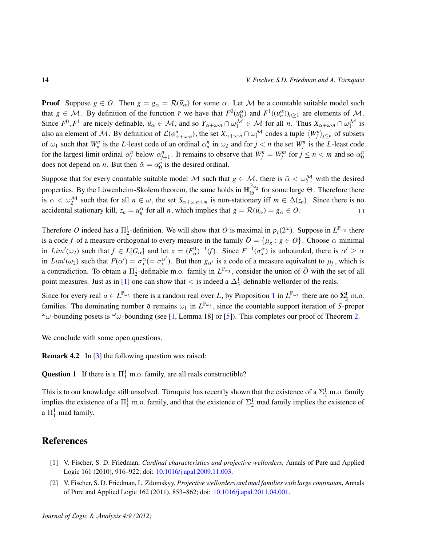**Proof** Suppose  $g \in O$ . Then  $g = g_\alpha = \mathcal{R}(\vec{u}_\alpha)$  for some  $\alpha$ . Let M be a countable suitable model such that  $g \in \mathcal{M}$ . By definition of the function  $\bar{r}$  we have that  $F^0(u_0^{\alpha})$  and  $F^1((u_n^{\alpha}))_{n\geq 1}$  are elements of  $\mathcal{M}$ . Since  $F^0, F^1$  are nicely definable,  $\vec{u}_\alpha \in \mathcal{M}$ , and so  $Y_{\alpha+\omega \cdot n} \cap \omega_1^{\mathcal{M}} \in \mathcal{M}$  for all *n*. Thus  $X_{\alpha+\omega \cdot n} \cap \omega_1^{\mathcal{M}}$  is also an element of M. By definition of  $\mathcal{L}(\phi^n_{\alpha+\omega \cdot n})$ , the set  $X_{\alpha+\omega \cdot n} \cap \omega_1^{\mathcal{M}}$  codes a tuple  $\langle W^n_j \rangle_{j \leq n}$  of subsets of  $\omega_1$  such that  $W_n^n$  is the *L*-least code of an ordinal  $\alpha_n^n$  in  $\omega_2$  and for  $j < n$  the set  $W_j^n$  is the *L*-least code for the largest limit ordinal  $\alpha_j^n$  below  $\alpha_{j+1}^n$ . It remains to observe that  $W_j^n = W_j^m$  for  $j \le n < m$  and so  $\alpha_0^n$ does not depend on *n*. But then  $\bar{\alpha} = \alpha_0^n$  is the desired ordinal.

Suppose that for every countable suitable model M such that  $g \in M$ , there is  $\bar{\alpha} < \omega_2^M$  with the desired properties. By the Löwenheim-Skolem theorem, the same holds in  $\mathbb{H}_{\Theta}^{\mathbb{P}_{\omega_2}}$  for some large  $\Theta$ . Therefore there is  $\alpha < \omega_2^{\mathcal{M}}$  such that for all  $n \in \omega$ , the set  $S_{\alpha+\omega \cdot n+m}$  is non-stationary iff  $m \in \Delta(z_n)$ . Since there is no accidental stationary kill,  $z_n = u_n^{\alpha}$  for all *n*, which implies that  $g = \mathcal{R}(\vec{u}_{\alpha}) = g_{\alpha} \in O$ .  $\Box$ 

Therefore O indeed has a  $\Pi_2^1$ -definition. We will show that O is maximal in  $p_c(2^{\omega})$ . Suppose in  $L^{\mathbb{P}_{\omega_3}}$  there is a code f of a measure orthogonal to every measure in the family  $\overline{O} = {\mu_g : g \in O}$ . Choose  $\alpha$  minimal in  $Lim'(\omega_2)$  such that  $f \in L[G_\alpha]$  and let  $x = (F_\alpha^0)^{-1}(f)$ . Since  $F^{-1}(\sigma_x^\alpha)$  is unbounded, there is  $\alpha' \ge \alpha$ in  $Lim'(\omega_2)$  such that  $F(\alpha') = \sigma_x^{\alpha} (= \sigma_x^{\alpha'}$  $\alpha'$ ). But then  $g_{\alpha'}$  is a code of a measure equivalent to  $\mu_f$ , which is a contradiction. To obtain a  $\Pi_2^1$ -definable m.o. family in  $L^{\mathbb{P}_{\omega_3}}$ , consider the union of  $\bar{O}$  with the set of all point measures. Just as in [\[1\]](#page-13-0) one can show that  $\lt$  is indeed a  $\Delta_3^1$ -definable wellorder of the reals.

Since for every real  $a \in L^{\mathbb{P}_{\omega_3}}$  there is a random real over *L*, by Proposition [1](#page-3-0) in  $L^{\mathbb{P}_{\omega_3}}$  there are no  $\Sigma^1_2$  m.o. families. The dominating number  $\mathfrak d$  remains  $\omega_1$  in  $L^{\mathbb P_{\omega_3}}$ , since the countable support iteration of *S*-proper  $\omega$ -bounding posets is  $\omega$ -bounding (see [\[1,](#page-13-0) Lemma 18] or [\[5\]](#page-14-11)). This completes our proof of Theorem [2.](#page-1-1)

We conclude with some open questions.

**Remark 4.2** In [\[3\]](#page-14-2) the following question was raised:

**Question 1** If there is a  $\Pi_1^1$  m.o. family, are all reals constructible?

This is to our knowledge still unsolved. Törnquist has recently shown that the existence of a  $\Sigma^1_2$  m.o. family implies the existence of a  $\Pi_1^1$  m.o. family, and that the existence of  $\Sigma_2^1$  mad family implies the existence of a  $\Pi_1^1$  mad family.

#### References

- <span id="page-13-0"></span>[1] V. Fischer, S. D. Friedman, *Cardinal characteristics and projective wellorders,* Annals of Pure and Applied Logic 161 (2010), 916–922; doi: [10.1016/j.apal.2009.11.003.](http://dx.doi.org/10.1016/j.apal.2009.11.003)
- <span id="page-13-1"></span>[2] V. Fischer, S. D. Friedman, L. Zdomskyy, *Projective wellorders and mad families with large continuum*, Annals of Pure and Applied Logic 162 (2011), 853–862; doi: [10.1016/j.apal.2011.04.001.](http://dx.doi.org/10.1016/j.apal.2011.04.001)